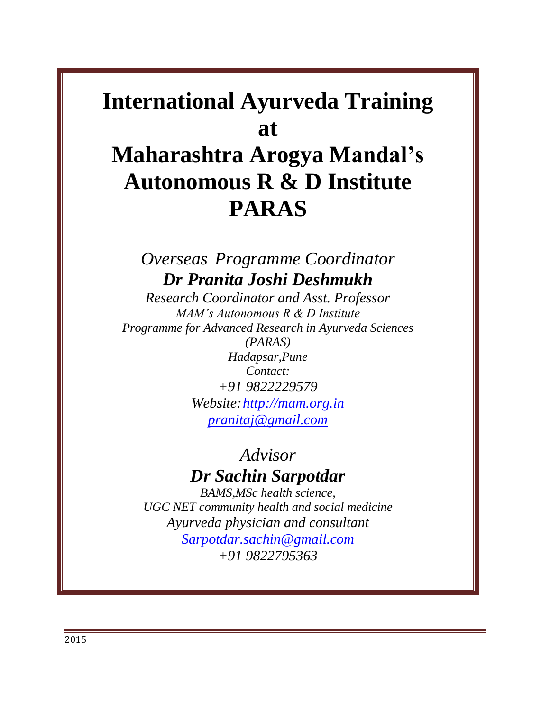# **International Ayurveda Training at**

# **Maharashtra Arogya Mandal's Autonomous R & D Institute PARAS**

*Overseas Programme Coordinator Dr Pranita Joshi Deshmukh*

*Research Coordinator and Asst. Professor MAM's Autonomous R & D Institute Programme for Advanced Research in Ayurveda Sciences (PARAS) Hadapsar,Pune Contact: +91 9822229579 Website[:http://mam.org.in](http://mam.org.in/) [pranitaj@gmail.com](mailto:pranitaj@gmail.com)*

## *Advisor Dr Sachin Sarpotdar*

*BAMS,MSc health science, UGC NET community health and social medicine Ayurveda physician and consultant [Sarpotdar.sachin@gmail.com](mailto:Sarpotdar.sachin@gmail.com) +91 9822795363*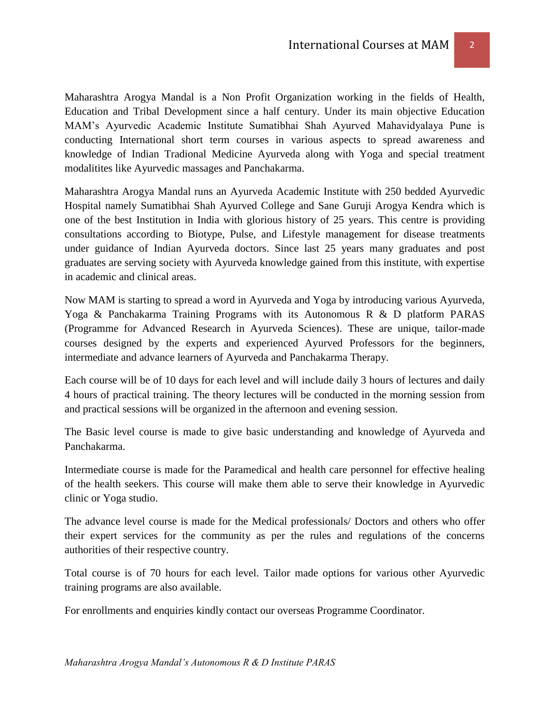Maharashtra Arogya Mandal is a Non Profit Organization working in the fields of Health, Education and Tribal Development since a half century. Under its main objective Education MAM's Ayurvedic Academic Institute Sumatibhai Shah Ayurved Mahavidyalaya Pune is conducting International short term courses in various aspects to spread awareness and knowledge of Indian Tradional Medicine Ayurveda along with Yoga and special treatment modalitites like Ayurvedic massages and Panchakarma.

Maharashtra Arogya Mandal runs an Ayurveda Academic Institute with 250 bedded Ayurvedic Hospital namely Sumatibhai Shah Ayurved College and Sane Guruji Arogya Kendra which is one of the best Institution in India with glorious history of 25 years. This centre is providing consultations according to Biotype, Pulse, and Lifestyle management for disease treatments under guidance of Indian Ayurveda doctors. Since last 25 years many graduates and post graduates are serving society with Ayurveda knowledge gained from this institute, with expertise in academic and clinical areas.

Now MAM is starting to spread a word in Ayurveda and Yoga by introducing various Ayurveda, Yoga & Panchakarma Training Programs with its Autonomous R & D platform PARAS (Programme for Advanced Research in Ayurveda Sciences). These are unique, tailor-made courses designed by the experts and experienced Ayurved Professors for the beginners, intermediate and advance learners of Ayurveda and Panchakarma Therapy.

Each course will be of 10 days for each level and will include daily 3 hours of lectures and daily 4 hours of practical training. The theory lectures will be conducted in the morning session from and practical sessions will be organized in the afternoon and evening session.

The Basic level course is made to give basic understanding and knowledge of Ayurveda and Panchakarma.

Intermediate course is made for the Paramedical and health care personnel for effective healing of the health seekers. This course will make them able to serve their knowledge in Ayurvedic clinic or Yoga studio.

The advance level course is made for the Medical professionals/ Doctors and others who offer their expert services for the community as per the rules and regulations of the concerns authorities of their respective country.

Total course is of 70 hours for each level. Tailor made options for various other Ayurvedic training programs are also available.

For enrollments and enquiries kindly contact our overseas Programme Coordinator.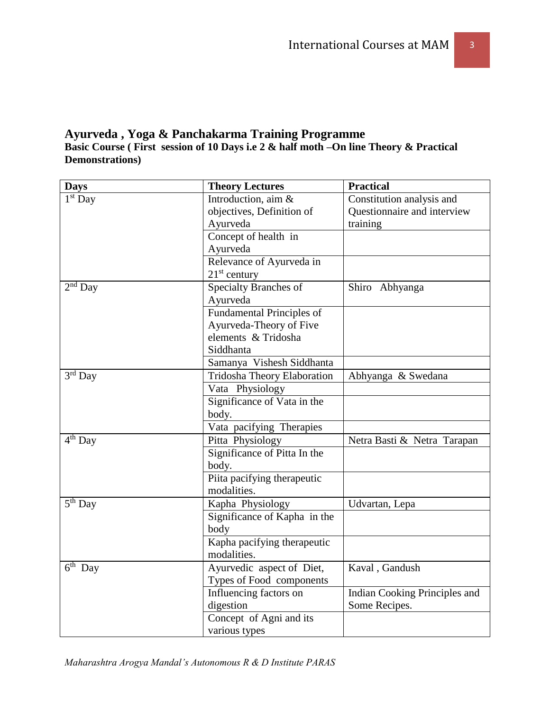#### **Ayurveda , Yoga & Panchakarma Training Programme Basic Course ( First session of 10 Days i.e 2 & half moth –On line Theory & Practical Demonstrations)**

| <b>Days</b>                      | <b>Theory Lectures</b>       | <b>Practical</b>              |
|----------------------------------|------------------------------|-------------------------------|
| $1st$ Day                        | Introduction, aim &          | Constitution analysis and     |
|                                  | objectives, Definition of    | Questionnaire and interview   |
|                                  | Ayurveda                     | training                      |
|                                  | Concept of health in         |                               |
|                                  | Ayurveda                     |                               |
|                                  | Relevance of Ayurveda in     |                               |
|                                  | $21st$ century               |                               |
| $2nd$ Day                        | Specialty Branches of        | Shiro Abhyanga                |
|                                  | Ayurveda                     |                               |
|                                  | Fundamental Principles of    |                               |
|                                  | Ayurveda-Theory of Five      |                               |
|                                  | elements & Tridosha          |                               |
|                                  | Siddhanta                    |                               |
|                                  | Samanya Vishesh Siddhanta    |                               |
| $3rd$ Day                        | Tridosha Theory Elaboration  | Abhyanga & Swedana            |
|                                  | Vata Physiology              |                               |
|                                  | Significance of Vata in the  |                               |
|                                  | body.                        |                               |
|                                  | Vata pacifying Therapies     |                               |
| $4th$ Day                        | Pitta Physiology             | Netra Basti & Netra Tarapan   |
|                                  | Significance of Pitta In the |                               |
|                                  | body.                        |                               |
|                                  | Piita pacifying therapeutic  |                               |
|                                  | modalities.                  |                               |
| $\overline{5}$ <sup>th</sup> Day | Kapha Physiology             | Udvartan, Lepa                |
|                                  | Significance of Kapha in the |                               |
|                                  | body                         |                               |
|                                  | Kapha pacifying therapeutic  |                               |
|                                  | modalities.                  |                               |
| $\overline{6}$ <sup>th</sup> Day | Ayurvedic aspect of Diet,    | Kaval, Gandush                |
|                                  | Types of Food components     |                               |
|                                  | Influencing factors on       | Indian Cooking Principles and |
|                                  | digestion                    | Some Recipes.                 |
|                                  | Concept of Agni and its      |                               |
|                                  | various types                |                               |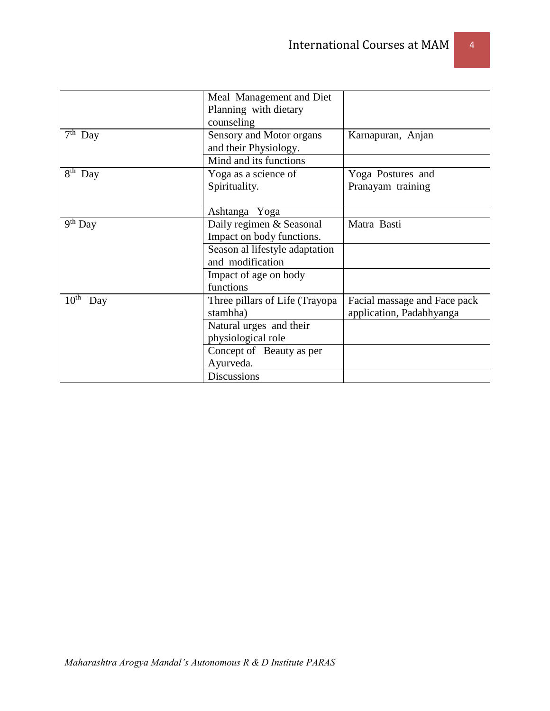|                         | Meal Management and Diet<br>Planning with dietary<br>counseling |                              |
|-------------------------|-----------------------------------------------------------------|------------------------------|
| $7th$ Day               | Sensory and Motor organs<br>and their Physiology.               | Karnapuran, Anjan            |
|                         | Mind and its functions                                          |                              |
| $8th$ Day               | Yoga as a science of                                            | Yoga Postures and            |
|                         | Spirituality.                                                   | Pranayam training            |
|                         | Ashtanga Yoga                                                   |                              |
| $9th$ Day               | Daily regimen & Seasonal                                        | Matra Basti                  |
|                         | Impact on body functions.                                       |                              |
|                         | Season al lifestyle adaptation                                  |                              |
|                         | and modification                                                |                              |
|                         | Impact of age on body                                           |                              |
|                         | functions                                                       |                              |
| $10^{\text{th}}$<br>Day | Three pillars of Life (Trayopa                                  | Facial massage and Face pack |
|                         | stambha)                                                        | application, Padabhyanga     |
|                         | Natural urges and their                                         |                              |
|                         | physiological role                                              |                              |
|                         | Concept of Beauty as per                                        |                              |
|                         | Ayurveda.                                                       |                              |
|                         | <b>Discussions</b>                                              |                              |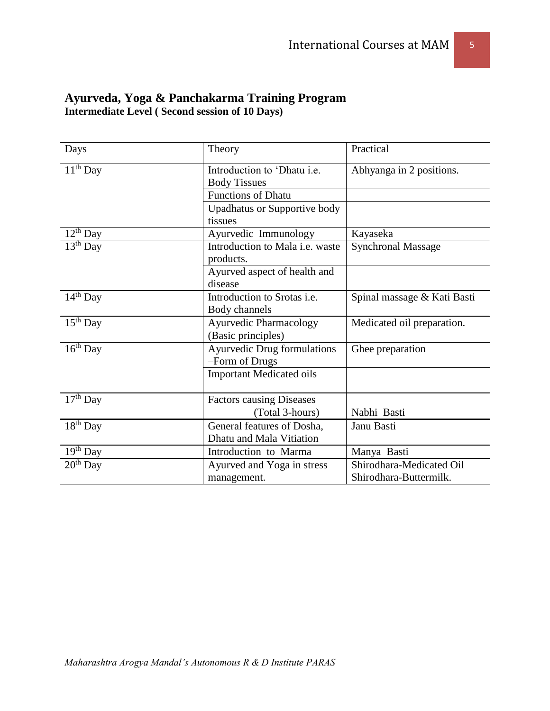| Days          | Theory                                 | Practical                   |
|---------------|----------------------------------------|-----------------------------|
| $11th$ Day    | Introduction to 'Dhatu i.e.            | Abhyanga in 2 positions.    |
|               | <b>Body Tissues</b>                    |                             |
|               | <b>Functions of Dhatu</b>              |                             |
|               | Upadhatus or Supportive body           |                             |
|               | tissues                                |                             |
| $12^{th}$ Day | Ayurvedic Immunology                   | Kayaseka                    |
| $13th$ Day    | Introduction to Mala <i>i.e.</i> waste | <b>Synchronal Massage</b>   |
|               | products.                              |                             |
|               | Ayurved aspect of health and           |                             |
|               | disease                                |                             |
| $14th$ Day    | Introduction to Srotas i.e.            | Spinal massage & Kati Basti |
|               | Body channels                          |                             |
| $15th$ Day    | <b>Ayurvedic Pharmacology</b>          | Medicated oil preparation.  |
|               | (Basic principles)                     |                             |
| $16th$ Day    | <b>Ayurvedic Drug formulations</b>     | Ghee preparation            |
|               | -Form of Drugs                         |                             |
|               | <b>Important Medicated oils</b>        |                             |
|               |                                        |                             |
| $17th$ Day    | <b>Factors causing Diseases</b>        |                             |
|               | (Total 3-hours)                        | Nabhi Basti                 |
| $18th$ Day    | General features of Dosha,             | Janu Basti                  |
|               | Dhatu and Mala Vitiation               |                             |
| $19th$ Day    | Introduction to Marma                  | Manya Basti                 |
| $20th$ Day    | Ayurved and Yoga in stress             | Shirodhara-Medicated Oil    |
|               | management.                            | Shirodhara-Buttermilk.      |

### **Ayurveda, Yoga & Panchakarma Training Program Intermediate Level ( Second session of 10 Days)**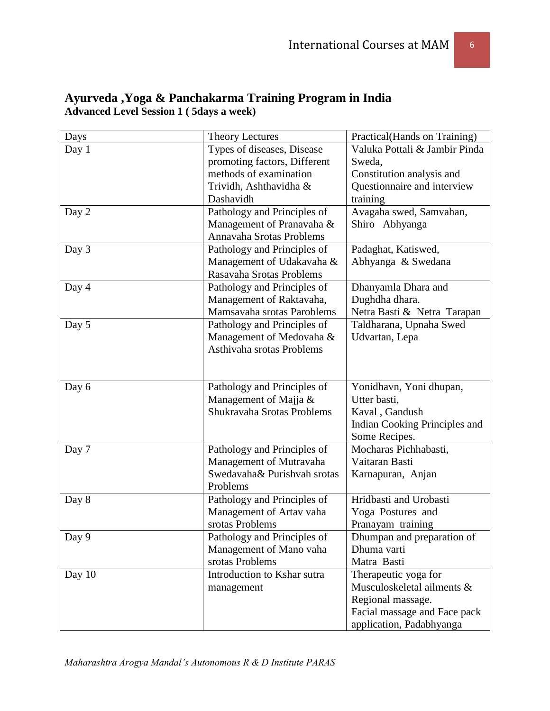| Days   | <b>Theory Lectures</b>       | Practical(Hands on Training)  |
|--------|------------------------------|-------------------------------|
| Day 1  | Types of diseases, Disease   | Valuka Pottali & Jambir Pinda |
|        | promoting factors, Different | Sweda,                        |
|        | methods of examination       | Constitution analysis and     |
|        | Trividh, Ashthavidha &       | Questionnaire and interview   |
|        | Dashavidh                    | training                      |
| Day 2  | Pathology and Principles of  | Avagaha swed, Samvahan,       |
|        | Management of Pranavaha &    | Shiro Abhyanga                |
|        | Annavaha Srotas Problems     |                               |
| Day 3  | Pathology and Principles of  | Padaghat, Katiswed,           |
|        | Management of Udakavaha &    | Abhyanga & Swedana            |
|        | Rasavaha Srotas Problems     |                               |
| Day 4  | Pathology and Principles of  | Dhanyamla Dhara and           |
|        | Management of Raktavaha,     | Dughdha dhara.                |
|        | Mamsavaha srotas Paroblems   | Netra Basti & Netra Tarapan   |
| Day 5  | Pathology and Principles of  | Taldharana, Upnaha Swed       |
|        | Management of Medovaha &     | Udvartan, Lepa                |
|        | Asthivaha srotas Problems    |                               |
|        |                              |                               |
|        |                              |                               |
| Day 6  | Pathology and Principles of  | Yonidhavn, Yoni dhupan,       |
|        | Management of Majja &        | Utter basti,                  |
|        | Shukravaha Srotas Problems   | Kaval, Gandush                |
|        |                              | Indian Cooking Principles and |
|        |                              | Some Recipes.                 |
| Day 7  | Pathology and Principles of  | Mocharas Pichhabasti,         |
|        | Management of Mutravaha      | Vaitaran Basti                |
|        | Swedavaha& Purishvah srotas  | Karnapuran, Anjan             |
|        | Problems                     |                               |
| Day 8  | Pathology and Principles of  | Hridbasti and Urobasti        |
|        | Management of Artav vaha     | Yoga Postures and             |
|        | srotas Problems              | Pranayam training             |
| Day 9  | Pathology and Principles of  | Dhumpan and preparation of    |
|        | Management of Mano vaha      | Dhuma varti                   |
|        | srotas Problems              | Matra Basti                   |
| Day 10 | Introduction to Kshar sutra  | Therapeutic yoga for          |
|        | management                   | Musculoskeletal ailments &    |
|        |                              | Regional massage.             |
|        |                              | Facial massage and Face pack  |
|        |                              | application, Padabhyanga      |

### **Ayurveda ,Yoga & Panchakarma Training Program in India Advanced Level Session 1 ( 5days a week)**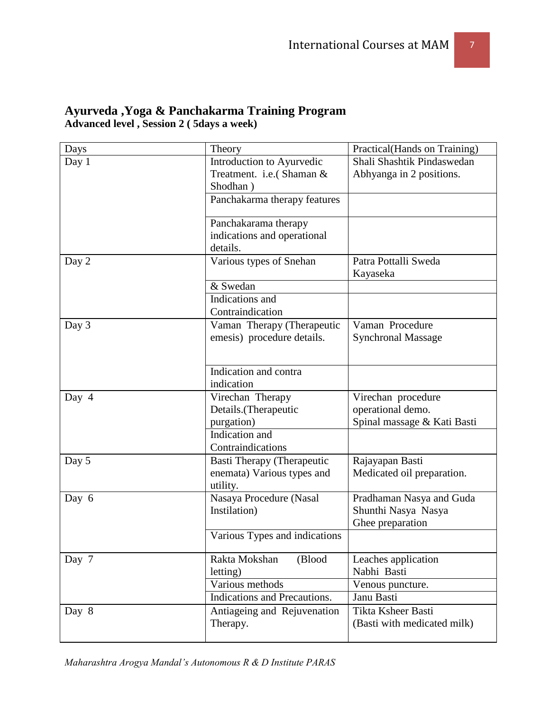| Days  | Theory                                                                                        | Practical(Hands on Training)                                           |
|-------|-----------------------------------------------------------------------------------------------|------------------------------------------------------------------------|
| Day 1 | Introduction to Ayurvedic<br>Treatment. i.e.(Shaman &<br>Shodhan)                             | Shali Shashtik Pindaswedan<br>Abhyanga in 2 positions.                 |
|       | Panchakarma therapy features                                                                  |                                                                        |
|       | Panchakarama therapy<br>indications and operational<br>details.                               |                                                                        |
| Day 2 | Various types of Snehan                                                                       | Patra Pottalli Sweda<br>Kayaseka                                       |
|       | & Swedan<br>Indications and<br>Contraindication                                               |                                                                        |
| Day 3 | Vaman Therapy (Therapeutic<br>emesis) procedure details.                                      | Vaman Procedure<br><b>Synchronal Massage</b>                           |
|       | Indication and contra<br>indication                                                           |                                                                        |
| Day 4 | Virechan Therapy<br>Details.(Therapeutic<br>purgation)<br>Indication and<br>Contraindications | Virechan procedure<br>operational demo.<br>Spinal massage & Kati Basti |
| Day 5 | Basti Therapy (Therapeutic<br>enemata) Various types and<br>utility.                          | Rajayapan Basti<br>Medicated oil preparation.                          |
| Day 6 | Nasaya Procedure (Nasal<br>Instilation)                                                       | Pradhaman Nasya and Guda<br>Shunthi Nasya Nasya<br>Ghee preparation    |
|       | Various Types and indications                                                                 |                                                                        |
| Day 7 | Rakta Mokshan<br>(Blood<br>letting)<br>Various methods<br>Indications and Precautions.        | Leaches application<br>Nabhi Basti<br>Venous puncture.<br>Janu Basti   |
| Day 8 | Antiageing and Rejuvenation<br>Therapy.                                                       | Tikta Ksheer Basti<br>(Basti with medicated milk)                      |

#### **Ayurveda ,Yoga & Panchakarma Training Program Advanced level , Session 2 ( 5days a week)**

*Maharashtra Arogya Mandal's Autonomous R & D Institute PARAS*